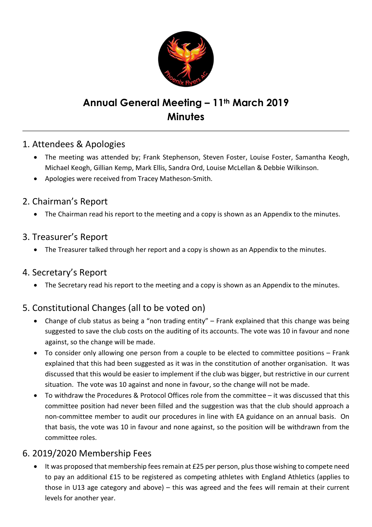

# Annual General Meeting - 11<sup>th</sup> March 2019 **Minutes**

## 1. Attendees & Apologies

- The meeting was attended by; Frank Stephenson, Steven Foster, Louise Foster, Samantha Keogh, Michael Keogh, Gillian Kemp, Mark Ellis, Sandra Ord, Louise McLellan & Debbie Wilkinson.
- Apologies were received from Tracey Matheson-Smith.

## 2. Chairman's Report

• The Chairman read his report to the meeting and a copy is shown as an Appendix to the minutes.

#### 3. Treasurer's Report

• The Treasurer talked through her report and a copy is shown as an Appendix to the minutes.

## 4. Secretary's Report

• The Secretary read his report to the meeting and a copy is shown as an Appendix to the minutes.

## 5. Constitutional Changes (all to be voted on)

- Change of club status as being a "non trading entity" Frank explained that this change was being suggested to save the club costs on the auditing of its accounts. The vote was 10 in favour and none against, so the change will be made.
- To consider only allowing one person from a couple to be elected to committee positions Frank explained that this had been suggested as it was in the constitution of another organisation. It was discussed that this would be easier to implement if the club was bigger, but restrictive in our current situation. The vote was 10 against and none in favour, so the change will not be made.
- To withdraw the Procedures & Protocol Offices role from the committee it was discussed that this committee position had never been filled and the suggestion was that the club should approach a non-committee member to audit our procedures in line with EA guidance on an annual basis. On that basis, the vote was 10 in favour and none against, so the position will be withdrawn from the committee roles.

## 6. 2019/2020 Membership Fees

• It was proposed that membership fees remain at £25 per person, plus those wishing to compete need to pay an additional £15 to be registered as competing athletes with England Athletics (applies to those in U13 age category and above) – this was agreed and the fees will remain at their current levels for another year.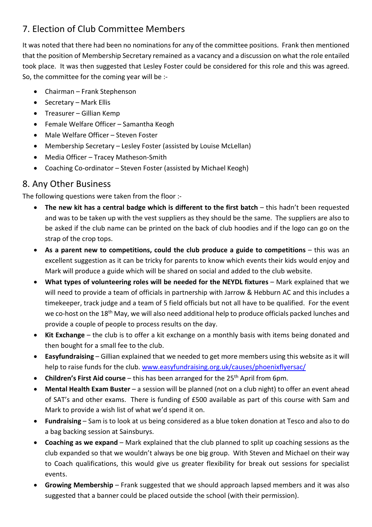## 7. Election of Club Committee Members

It was noted that there had been no nominations for any of the committee positions. Frank then mentioned that the position of Membership Secretary remained as a vacancy and a discussion on what the role entailed took place. It was then suggested that Lesley Foster could be considered for this role and this was agreed. So, the committee for the coming year will be :-

- Chairman Frank Stephenson
- Secretary Mark Ellis
- Treasurer Gillian Kemp
- Female Welfare Officer Samantha Keogh
- Male Welfare Officer Steven Foster
- Membership Secretary Lesley Foster (assisted by Louise McLellan)
- Media Officer Tracey Matheson-Smith
- Coaching Co-ordinator Steven Foster (assisted by Michael Keogh)

## 8. Any Other Business

The following questions were taken from the floor :-

- The new kit has a central badge which is different to the first batch this hadn't been requested and was to be taken up with the vest suppliers as they should be the same. The suppliers are also to be asked if the club name can be printed on the back of club hoodies and if the logo can go on the strap of the crop tops.
- As a parent new to competitions, could the club produce a guide to competitions this was an excellent suggestion as it can be tricky for parents to know which events their kids would enjoy and Mark will produce a guide which will be shared on social and added to the club website.
- What types of volunteering roles will be needed for the NEYDL fixtures Mark explained that we will need to provide a team of officials in partnership with Jarrow & Hebburn AC and this includes a timekeeper, track judge and a team of 5 field officials but not all have to be qualified. For the event we co-host on the 18<sup>th</sup> May, we will also need additional help to produce officials packed lunches and provide a couple of people to process results on the day.
- Kit Exchange the club is to offer a kit exchange on a monthly basis with items being donated and then bought for a small fee to the club.
- Easyfundraising Gillian explained that we needed to get more members using this website as it will help to raise funds for the club. www.easyfundraising.org.uk/causes/phoenixflyersac/
- Children's First Aid course this has been arranged for the  $25<sup>th</sup>$  April from 6pm.
- Mental Health Exam Buster a session will be planned (not on a club night) to offer an event ahead of SAT's and other exams. There is funding of £500 available as part of this course with Sam and Mark to provide a wish list of what we'd spend it on.
- Fundraising Sam is to look at us being considered as a blue token donation at Tesco and also to do a bag backing session at Sainsburys.
- Coaching as we expand Mark explained that the club planned to split up coaching sessions as the club expanded so that we wouldn't always be one big group. With Steven and Michael on their way to Coach qualifications, this would give us greater flexibility for break out sessions for specialist events.
- Growing Membership Frank suggested that we should approach lapsed members and it was also suggested that a banner could be placed outside the school (with their permission).